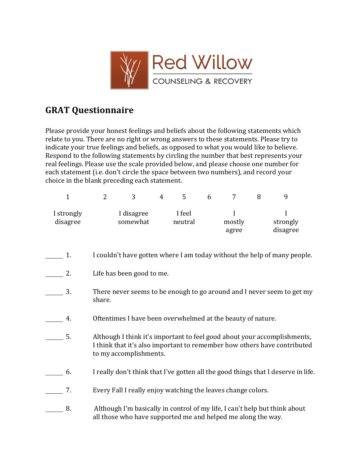

## **GRAT Questionnaire**

Please provide your honest feelings and beliefs about the following statements which relate to you. There are no right or wrong answers to these statements. Please try to indicate your true feelings and beliefs, as opposed to what you would like to believe. Respond to the following statements by circling the number that best represents your real feelings. Please use the scale provided below, and please choose one number for each statement (i.e. don't circle the space between two numbers), and record your choice in the blank preceding each statement.

| $\mathbf{1}$           | $\overline{2}$                                                                                                                                                                 | 3                      | 4 | 5                 | 6 | 7                    | 8 | 9                         |
|------------------------|--------------------------------------------------------------------------------------------------------------------------------------------------------------------------------|------------------------|---|-------------------|---|----------------------|---|---------------------------|
| I strongly<br>disagree |                                                                                                                                                                                | I disagree<br>somewhat |   | I feel<br>neutral |   | I<br>mostly<br>agree |   | I<br>strongly<br>disagree |
| 1.                     | I couldn't have gotten where I am today without the help of many people.                                                                                                       |                        |   |                   |   |                      |   |                           |
| 2.                     | Life has been good to me.                                                                                                                                                      |                        |   |                   |   |                      |   |                           |
| 3.                     | There never seems to be enough to go around and I never seem to get my<br>share.                                                                                               |                        |   |                   |   |                      |   |                           |
| 4.                     | Oftentimes I have been overwhelmed at the beauty of nature.                                                                                                                    |                        |   |                   |   |                      |   |                           |
| 5.                     | Although I think it's important to feel good about your accomplishments,<br>I think that it's also important to remember how others have contributed<br>to my accomplishments. |                        |   |                   |   |                      |   |                           |
| 6.                     | I really don't think that I've gotten all the good things that I deserve in life.                                                                                              |                        |   |                   |   |                      |   |                           |
| 7.                     | Every Fall I really enjoy watching the leaves change colors.                                                                                                                   |                        |   |                   |   |                      |   |                           |
| 8.                     | Although I'm basically in control of my life, I can't help but think about<br>all those who have supported me and helped me along the way.                                     |                        |   |                   |   |                      |   |                           |